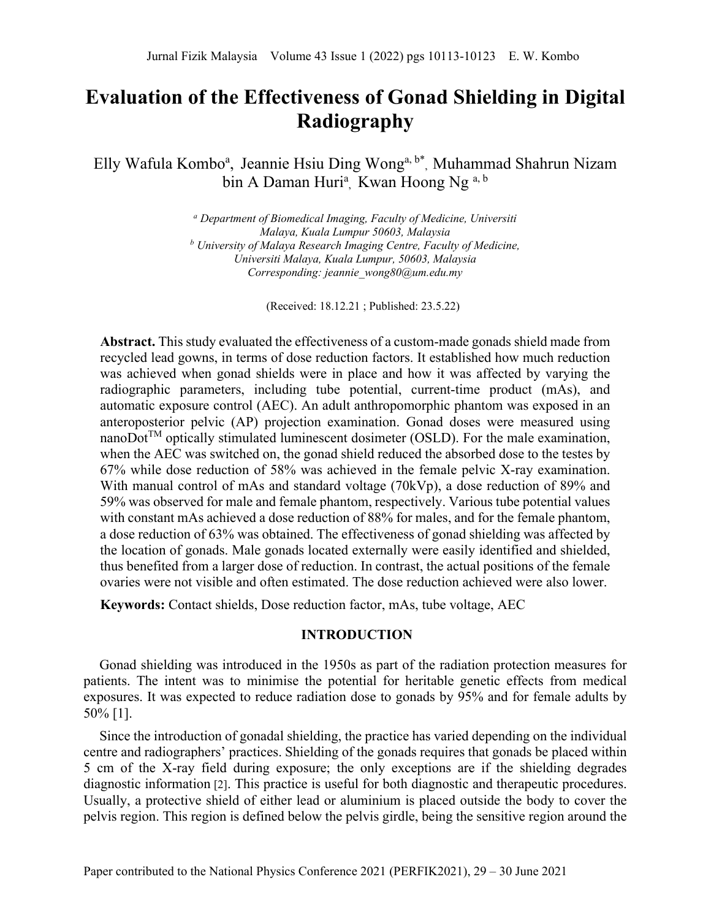# **Evaluation of the Effectiveness of Gonad Shielding in Digital Radiography**

Elly Wafula Kombo<sup>a</sup>, Jeannie Hsiu Ding Wong<sup>a, b\*</sup>, Muhammad Shahrun Nizam bin A Daman Huri<sup>a</sup>, Kwan Hoong Ng <sup>a, b</sup>

> *<sup>a</sup> Department of Biomedical Imaging, Faculty of Medicine, Universiti Malaya, Kuala Lumpur 50603, Malaysia <sup>b</sup> University of Malaya Research Imaging Centre, Faculty of Medicine, Universiti Malaya, Kuala Lumpur, 50603, Malaysia Corresponding: jeannie\_wong80@um.edu.my*

> > (Received: 18.12.21 ; Published: 23.5.22)

**Abstract.** This study evaluated the effectiveness of a custom-made gonads shield made from recycled lead gowns, in terms of dose reduction factors. It established how much reduction was achieved when gonad shields were in place and how it was affected by varying the radiographic parameters, including tube potential, current-time product (mAs), and automatic exposure control (AEC). An adult anthropomorphic phantom was exposed in an anteroposterior pelvic (AP) projection examination. Gonad doses were measured using nanoDot<sup>TM</sup> optically stimulated luminescent dosimeter (OSLD). For the male examination, when the AEC was switched on, the gonad shield reduced the absorbed dose to the testes by 67% while dose reduction of 58% was achieved in the female pelvic X-ray examination. With manual control of mAs and standard voltage (70kVp), a dose reduction of 89% and 59% was observed for male and female phantom, respectively. Various tube potential values with constant mAs achieved a dose reduction of 88% for males, and for the female phantom, a dose reduction of 63% was obtained. The effectiveness of gonad shielding was affected by the location of gonads. Male gonads located externally were easily identified and shielded, thus benefited from a larger dose of reduction. In contrast, the actual positions of the female ovaries were not visible and often estimated. The dose reduction achieved were also lower.

**Keywords:** Contact shields, Dose reduction factor, mAs, tube voltage, AEC

# **INTRODUCTION**

Gonad shielding was introduced in the 1950s as part of the radiation protection measures for patients. The intent was to minimise the potential for heritable genetic effects from medical exposures. It was expected to reduce radiation dose to gonads by 95% and for female adults by 50% [1].

Since the introduction of gonadal shielding, the practice has varied depending on the individual centre and radiographers' practices. Shielding of the gonads requires that gonads be placed within 5 cm of the X-ray field during exposure; the only exceptions are if the shielding degrades diagnostic information [2]. This practice is useful for both diagnostic and therapeutic procedures. Usually, a protective shield of either lead or aluminium is placed outside the body to cover the pelvis region. This region is defined below the pelvis girdle, being the sensitive region around the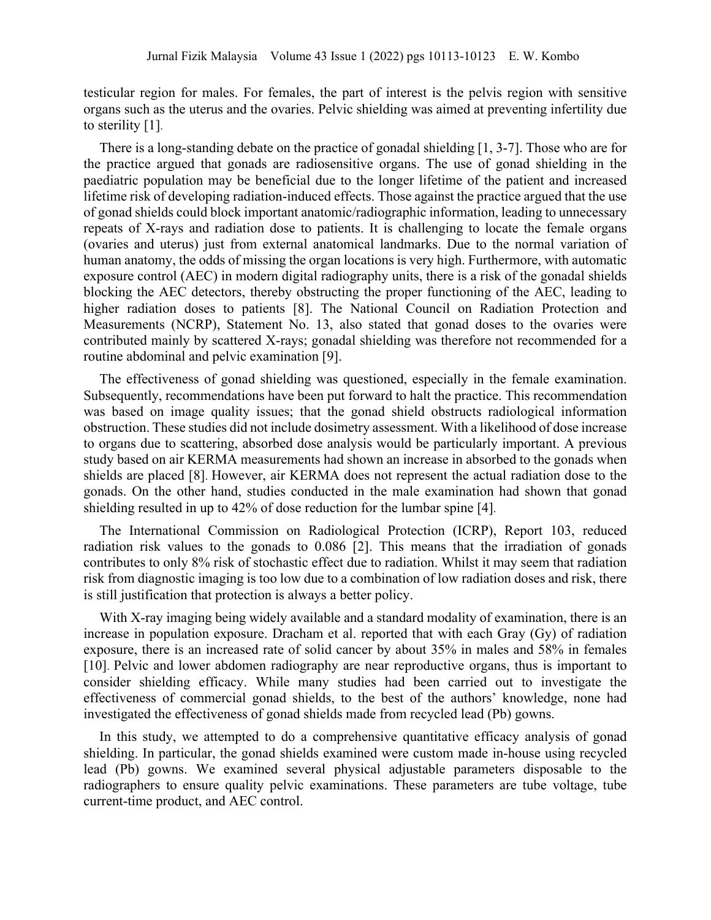testicular region for males. For females, the part of interest is the pelvis region with sensitive organs such as the uterus and the ovaries. Pelvic shielding was aimed at preventing infertility due to sterility [1].

There is a long-standing debate on the practice of gonadal shielding [1, 3-7]. Those who are for the practice argued that gonads are radiosensitive organs. The use of gonad shielding in the paediatric population may be beneficial due to the longer lifetime of the patient and increased lifetime risk of developing radiation-induced effects. Those against the practice argued that the use of gonad shields could block important anatomic/radiographic information, leading to unnecessary repeats of X-rays and radiation dose to patients. It is challenging to locate the female organs (ovaries and uterus) just from external anatomical landmarks. Due to the normal variation of human anatomy, the odds of missing the organ locations is very high. Furthermore, with automatic exposure control (AEC) in modern digital radiography units, there is a risk of the gonadal shields blocking the AEC detectors, thereby obstructing the proper functioning of the AEC, leading to higher radiation doses to patients [8]. The National Council on Radiation Protection and Measurements (NCRP), Statement No. 13, also stated that gonad doses to the ovaries were contributed mainly by scattered X-rays; gonadal shielding was therefore not recommended for a routine abdominal and pelvic examination [9].

The effectiveness of gonad shielding was questioned, especially in the female examination. Subsequently, recommendations have been put forward to halt the practice. This recommendation was based on image quality issues; that the gonad shield obstructs radiological information obstruction. These studies did not include dosimetry assessment. With a likelihood of dose increase to organs due to scattering, absorbed dose analysis would be particularly important. A previous study based on air KERMA measurements had shown an increase in absorbed to the gonads when shields are placed [8]. However, air KERMA does not represent the actual radiation dose to the gonads. On the other hand, studies conducted in the male examination had shown that gonad shielding resulted in up to 42% of dose reduction for the lumbar spine [4].

The International Commission on Radiological Protection (ICRP), Report 103, reduced radiation risk values to the gonads to 0.086 [2]. This means that the irradiation of gonads contributes to only 8% risk of stochastic effect due to radiation. Whilst it may seem that radiation risk from diagnostic imaging is too low due to a combination of low radiation doses and risk, there is still justification that protection is always a better policy.

With X-ray imaging being widely available and a standard modality of examination, there is an increase in population exposure. Dracham et al. reported that with each Gray (Gy) of radiation exposure, there is an increased rate of solid cancer by about 35% in males and 58% in females [10]. Pelvic and lower abdomen radiography are near reproductive organs, thus is important to consider shielding efficacy. While many studies had been carried out to investigate the effectiveness of commercial gonad shields, to the best of the authors' knowledge, none had investigated the effectiveness of gonad shields made from recycled lead (Pb) gowns.

In this study, we attempted to do a comprehensive quantitative efficacy analysis of gonad shielding. In particular, the gonad shields examined were custom made in-house using recycled lead (Pb) gowns. We examined several physical adjustable parameters disposable to the radiographers to ensure quality pelvic examinations. These parameters are tube voltage, tube current-time product, and AEC control.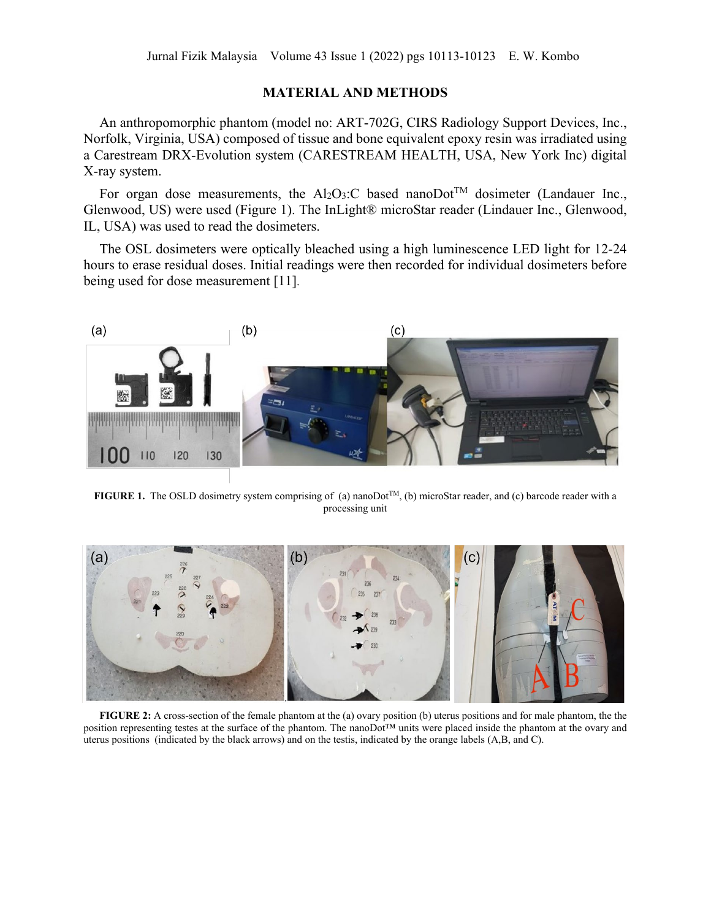## **MATERIAL AND METHODS**

An anthropomorphic phantom (model no: ART-702G, CIRS Radiology Support Devices, Inc., Norfolk, Virginia, USA) composed of tissue and bone equivalent epoxy resin was irradiated using a Carestream DRX-Evolution system (CARESTREAM HEALTH, USA, New York Inc) digital X-ray system.

For organ dose measurements, the Al<sub>2</sub>O<sub>3</sub>:C based nanoDot<sup>TM</sup> dosimeter (Landauer Inc., Glenwood, US) were used (Figure 1). The InLight® microStar reader (Lindauer Inc., Glenwood, IL, USA) was used to read the dosimeters.

The OSL dosimeters were optically bleached using a high luminescence LED light for 12-24 hours to erase residual doses. Initial readings were then recorded for individual dosimeters before being used for dose measurement [11].



**FIGURE 1.** The OSLD dosimetry system comprising of (a) nanoDot<sup>TM</sup>, (b) microStar reader, and (c) barcode reader with a processing unit



**FIGURE 2:** A cross-section of the female phantom at the (a) ovary position (b) uterus positions and for male phantom, the the position representing testes at the surface of the phantom. The nanoDot™ units were placed inside the phantom at the ovary and uterus positions (indicated by the black arrows) and on the testis, indicated by the orange labels (A,B, and C).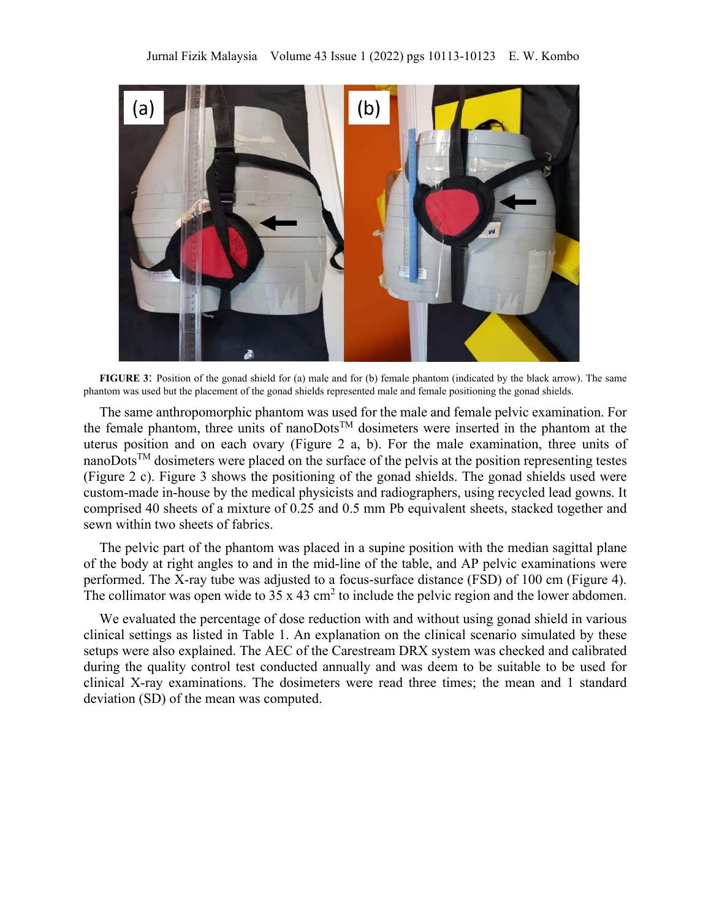

**FIGURE 3**: Position of the gonad shield for (a) male and for (b) female phantom (indicated by the black arrow). The same phantom was used but the placement of the gonad shields represented male and female positioning the gonad shields.

The same anthropomorphic phantom was used for the male and female pelvic examination. For the female phantom, three units of nanoDotsTM dosimeters were inserted in the phantom at the uterus position and on each ovary (Figure 2 a, b). For the male examination, three units of nanoDotsTM dosimeters were placed on the surface of the pelvis at the position representing testes (Figure 2 c). Figure 3 shows the positioning of the gonad shields. The gonad shields used were custom-made in-house by the medical physicists and radiographers, using recycled lead gowns. It comprised 40 sheets of a mixture of 0.25 and 0.5 mm Pb equivalent sheets, stacked together and sewn within two sheets of fabrics.

The pelvic part of the phantom was placed in a supine position with the median sagittal plane of the body at right angles to and in the mid-line of the table, and AP pelvic examinations were performed. The X-ray tube was adjusted to a focus-surface distance (FSD) of 100 cm (Figure 4). The collimator was open wide to  $35 \times 43$  cm<sup>2</sup> to include the pelvic region and the lower abdomen.

We evaluated the percentage of dose reduction with and without using gonad shield in various clinical settings as listed in Table 1. An explanation on the clinical scenario simulated by these setups were also explained. The AEC of the Carestream DRX system was checked and calibrated during the quality control test conducted annually and was deem to be suitable to be used for clinical X-ray examinations. The dosimeters were read three times; the mean and 1 standard deviation (SD) of the mean was computed.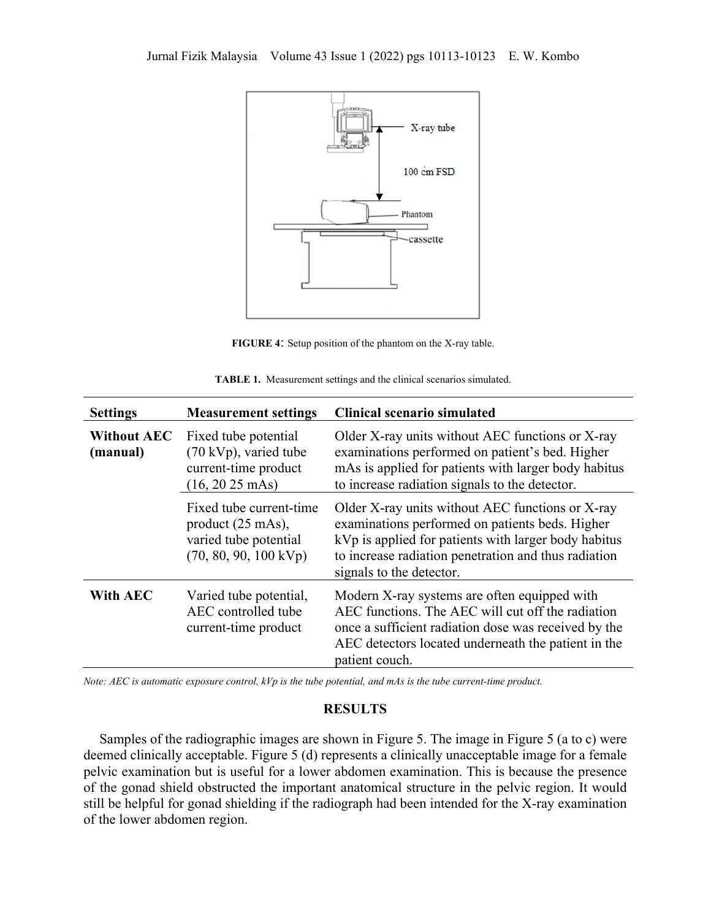

**FIGURE 4**: Setup position of the phantom on the X-ray table.

| <b>Settings</b>                | <b>Measurement settings</b>                                                                                         | <b>Clinical scenario simulated</b>                                                                                                                                                                                                              |
|--------------------------------|---------------------------------------------------------------------------------------------------------------------|-------------------------------------------------------------------------------------------------------------------------------------------------------------------------------------------------------------------------------------------------|
| <b>Without AEC</b><br>(manual) | Fixed tube potential<br>$(70 \text{ kVp})$ , varied tube<br>current-time product<br>$(16, 2025 \text{ mAs})$        | Older X-ray units without AEC functions or X-ray<br>examinations performed on patient's bed. Higher<br>mAs is applied for patients with larger body habitus<br>to increase radiation signals to the detector.                                   |
|                                | Fixed tube current-time<br>product $(25 \text{ mAs})$ ,<br>varied tube potential<br>$(70, 80, 90, 100 \text{ kVp})$ | Older X-ray units without AEC functions or X-ray<br>examinations performed on patients beds. Higher<br>kVp is applied for patients with larger body habitus<br>to increase radiation penetration and thus radiation<br>signals to the detector. |
| <b>With AEC</b>                | Varied tube potential,<br>AEC controlled tube<br>current-time product                                               | Modern X-ray systems are often equipped with<br>AEC functions. The AEC will cut off the radiation<br>once a sufficient radiation dose was received by the<br>AEC detectors located underneath the patient in the<br>patient couch.              |

**TABLE 1.** Measurement settings and the clinical scenarios simulated.

*Note: AEC is automatic exposure control, kVp is the tube potential, and mAs is the tube current-time product.*

#### **RESULTS**

Samples of the radiographic images are shown in Figure 5. The image in Figure 5 (a to c) were deemed clinically acceptable. Figure 5 (d) represents a clinically unacceptable image for a female pelvic examination but is useful for a lower abdomen examination. This is because the presence of the gonad shield obstructed the important anatomical structure in the pelvic region. It would still be helpful for gonad shielding if the radiograph had been intended for the X-ray examination of the lower abdomen region.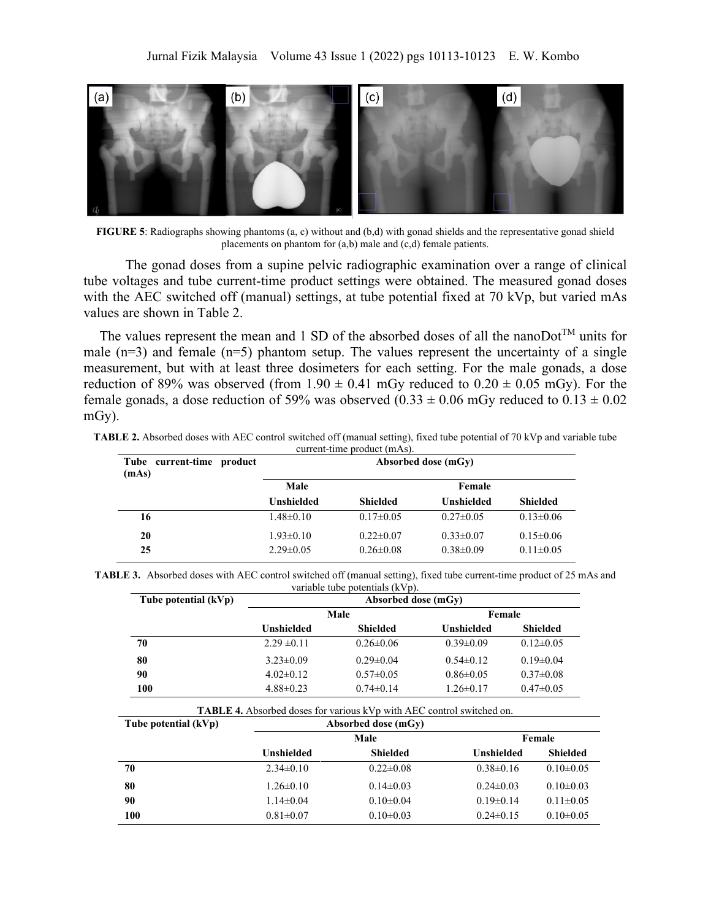

**FIGURE 5**: Radiographs showing phantoms (a, c) without and (b,d) with gonad shields and the representative gonad shield placements on phantom for (a,b) male and (c,d) female patients.

 The gonad doses from a supine pelvic radiographic examination over a range of clinical tube voltages and tube current-time product settings were obtained. The measured gonad doses with the AEC switched off (manual) settings, at tube potential fixed at 70 kVp, but varied mAs values are shown in Table 2.

The values represent the mean and 1 SD of the absorbed doses of all the nanoDot<sup>TM</sup> units for male  $(n=3)$  and female  $(n=5)$  phantom setup. The values represent the uncertainty of a single measurement, but with at least three dosimeters for each setting. For the male gonads, a dose reduction of 89% was observed (from  $1.90 \pm 0.41$  mGy reduced to  $0.20 \pm 0.05$  mGy). For the female gonads, a dose reduction of 59% was observed  $(0.33 \pm 0.06 \text{ mGy}$  reduced to  $0.13 \pm 0.02$ mGy).

| Tube current-time product<br>(mAs) | Absorbed dose (mGy)                |                                    |                                    |                                    |
|------------------------------------|------------------------------------|------------------------------------|------------------------------------|------------------------------------|
|                                    | Male                               |                                    | Female                             |                                    |
|                                    | Unshielded                         | <b>Shielded</b>                    | <b>Unshielded</b>                  | <b>Shielded</b>                    |
| 16                                 | $1.48 \pm 0.10$                    | $0.17 \pm 0.05$                    | $0.27 \pm 0.05$                    | $0.13 \pm 0.06$                    |
| 20<br>25                           | $1.93 \pm 0.10$<br>$2.29 \pm 0.05$ | $0.22 \pm 0.07$<br>$0.26 \pm 0.08$ | $0.33 \pm 0.07$<br>$0.38 \pm 0.09$ | $0.15 \pm 0.06$<br>$0.11 \pm 0.05$ |

**TABLE 2.** Absorbed doses with AEC control switched off (manual setting), fixed tube potential of 70 kVp and variable tube current-time product (mAs).

| TABLE 3. Absorbed doses with AEC control switched off (manual setting), fixed tube current-time product of 25 mAs and |  |
|-----------------------------------------------------------------------------------------------------------------------|--|
| variable tube potentials (kVp).                                                                                       |  |

| Tube potential $(kVp)$ | Absorbed dose (mGv) |                 |                 |                 |
|------------------------|---------------------|-----------------|-----------------|-----------------|
|                        |                     | Male            | Female          |                 |
|                        | Unshielded          | Shielded        | Unshielded      | Shielded        |
| 70                     | $2.29 \pm 0.11$     | $0.26 \pm 0.06$ | $0.39 \pm 0.09$ | $0.12\pm0.05$   |
| 80                     | $3.23 \pm 0.09$     | $0.29 \pm 0.04$ | $0.54\pm0.12$   | $0.19 \pm 0.04$ |
| 90                     | $4.02\pm0.12$       | $0.57 \pm 0.05$ | $0.86 \pm 0.05$ | $0.37 \pm 0.08$ |
| 100                    | $4.88 \pm 0.23$     | $0.74 \pm 0.14$ | $1.26 \pm 0.17$ | $0.47 \pm 0.05$ |

**TABLE 4.** Absorbed doses for various kVp with AEC control switched on.

| Tube potential (kVp) |                 | Absorbed dose (mGv) |                 |                 |
|----------------------|-----------------|---------------------|-----------------|-----------------|
|                      | Male<br>Female  |                     |                 |                 |
|                      | Unshielded      | <b>Shielded</b>     | Unshielded      | <b>Shielded</b> |
| 70                   | $2.34 \pm 0.10$ | $0.22 \pm 0.08$     | $0.38 \pm 0.16$ | $0.10 \pm 0.05$ |
| 80                   | $1.26 \pm 0.10$ | $0.14 \pm 0.03$     | $0.24 \pm 0.03$ | $0.10 \pm 0.03$ |
| 90                   | $1.14 \pm 0.04$ | $0.10 \pm 0.04$     | $0.19 \pm 0.14$ | $0.11 \pm 0.05$ |
| 100                  | $0.81 \pm 0.07$ | $0.10 \pm 0.03$     | $0.24 \pm 0.15$ | $0.10 \pm 0.05$ |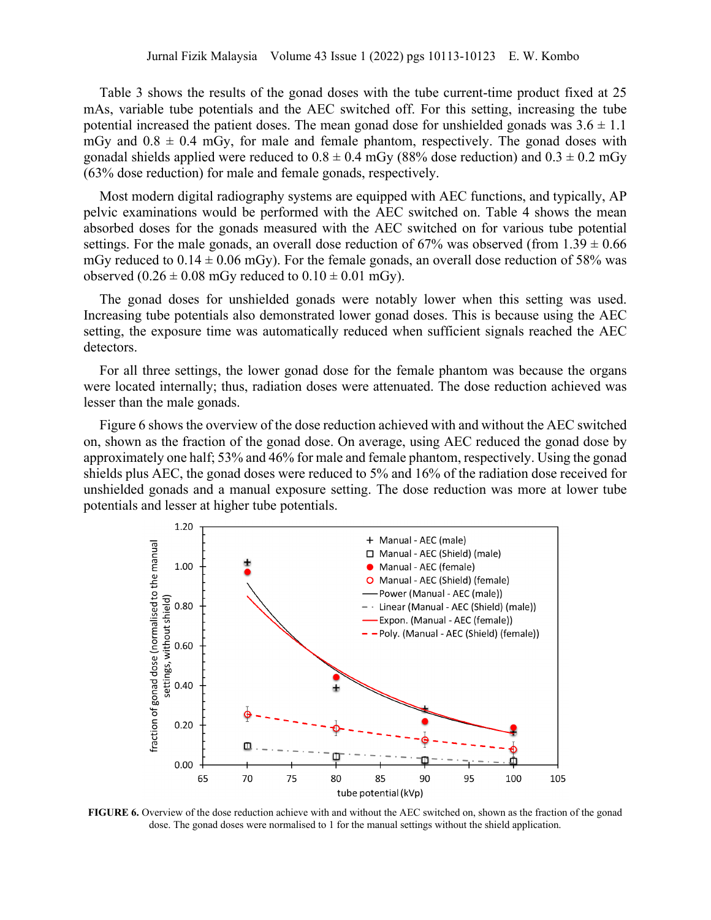Table 3 shows the results of the gonad doses with the tube current-time product fixed at 25 mAs, variable tube potentials and the AEC switched off. For this setting, increasing the tube potential increased the patient doses. The mean gonad dose for unshielded gonads was  $3.6 \pm 1.1$ mGy and  $0.8 \pm 0.4$  mGy, for male and female phantom, respectively. The gonad doses with gonadal shields applied were reduced to  $0.8 \pm 0.4$  mGy (88% dose reduction) and  $0.3 \pm 0.2$  mGy (63% dose reduction) for male and female gonads, respectively.

Most modern digital radiography systems are equipped with AEC functions, and typically, AP pelvic examinations would be performed with the AEC switched on. Table 4 shows the mean absorbed doses for the gonads measured with the AEC switched on for various tube potential settings. For the male gonads, an overall dose reduction of 67% was observed (from  $1.39 \pm 0.66$ ) mGy reduced to  $0.14 \pm 0.06$  mGy). For the female gonads, an overall dose reduction of 58% was observed  $(0.26 \pm 0.08 \text{ mGy}$  reduced to  $0.10 \pm 0.01 \text{ mGy}$ .

The gonad doses for unshielded gonads were notably lower when this setting was used. Increasing tube potentials also demonstrated lower gonad doses. This is because using the AEC setting, the exposure time was automatically reduced when sufficient signals reached the AEC detectors.

For all three settings, the lower gonad dose for the female phantom was because the organs were located internally; thus, radiation doses were attenuated. The dose reduction achieved was lesser than the male gonads.

Figure 6 shows the overview of the dose reduction achieved with and without the AEC switched on, shown as the fraction of the gonad dose. On average, using AEC reduced the gonad dose by approximately one half; 53% and 46% for male and female phantom, respectively. Using the gonad shields plus AEC, the gonad doses were reduced to 5% and 16% of the radiation dose received for unshielded gonads and a manual exposure setting. The dose reduction was more at lower tube potentials and lesser at higher tube potentials.



**FIGURE 6.** Overview of the dose reduction achieve with and without the AEC switched on, shown as the fraction of the gonad dose. The gonad doses were normalised to 1 for the manual settings without the shield application.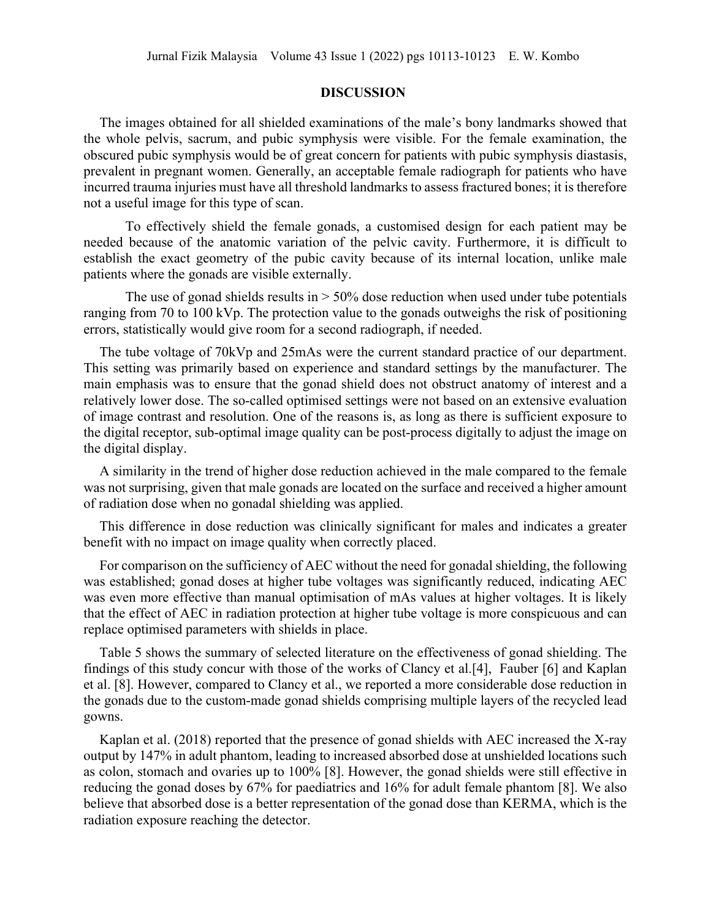## **DISCUSSION**

The images obtained for all shielded examinations of the male's bony landmarks showed that the whole pelvis, sacrum, and pubic symphysis were visible. For the female examination, the obscured pubic symphysis would be of great concern for patients with pubic symphysis diastasis, prevalent in pregnant women. Generally, an acceptable female radiograph for patients who have incurred trauma injuries must have all threshold landmarks to assess fractured bones; it is therefore not a useful image for this type of scan.

To effectively shield the female gonads, a customised design for each patient may be needed because of the anatomic variation of the pelvic cavity. Furthermore, it is difficult to establish the exact geometry of the pubic cavity because of its internal location, unlike male patients where the gonads are visible externally.

The use of gonad shields results in  $> 50\%$  dose reduction when used under tube potentials ranging from 70 to 100 kVp. The protection value to the gonads outweighs the risk of positioning errors, statistically would give room for a second radiograph, if needed.

The tube voltage of 70kVp and 25mAs were the current standard practice of our department. This setting was primarily based on experience and standard settings by the manufacturer. The main emphasis was to ensure that the gonad shield does not obstruct anatomy of interest and a relatively lower dose. The so-called optimised settings were not based on an extensive evaluation of image contrast and resolution. One of the reasons is, as long as there is sufficient exposure to the digital receptor, sub-optimal image quality can be post-process digitally to adjust the image on the digital display.

A similarity in the trend of higher dose reduction achieved in the male compared to the female was not surprising, given that male gonads are located on the surface and received a higher amount of radiation dose when no gonadal shielding was applied.

This difference in dose reduction was clinically significant for males and indicates a greater benefit with no impact on image quality when correctly placed.

For comparison on the sufficiency of AEC without the need for gonadal shielding, the following was established; gonad doses at higher tube voltages was significantly reduced, indicating AEC was even more effective than manual optimisation of mAs values at higher voltages. It is likely that the effect of AEC in radiation protection at higher tube voltage is more conspicuous and can replace optimised parameters with shields in place.

Table 5 shows the summary of selected literature on the effectiveness of gonad shielding. The findings of this study concur with those of the works of Clancy et al.[4], Fauber [6] and Kaplan et al. [8]. However, compared to Clancy et al., we reported a more considerable dose reduction in the gonads due to the custom-made gonad shields comprising multiple layers of the recycled lead gowns.

Kaplan et al. (2018) reported that the presence of gonad shields with AEC increased the X-ray output by 147% in adult phantom, leading to increased absorbed dose at unshielded locations such as colon, stomach and ovaries up to 100% [8]. However, the gonad shields were still effective in reducing the gonad doses by 67% for paediatrics and 16% for adult female phantom [8]. We also believe that absorbed dose is a better representation of the gonad dose than KERMA, which is the radiation exposure reaching the detector.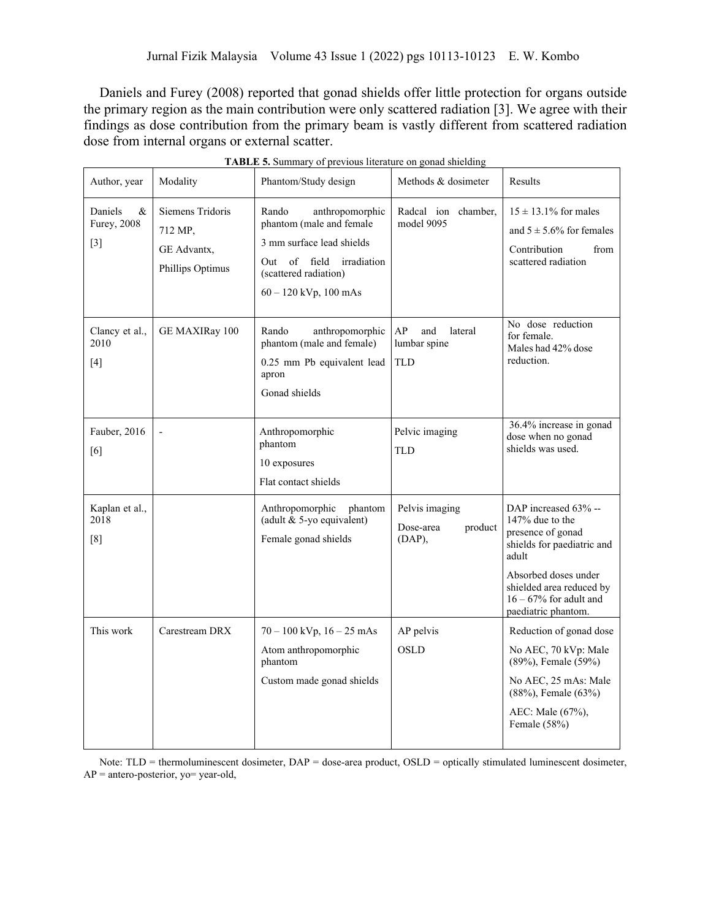Daniels and Furey (2008) reported that gonad shields offer little protection for organs outside the primary region as the main contribution were only scattered radiation [3]. We agree with their findings as dose contribution from the primary beam is vastly different from scattered radiation dose from internal organs or external scatter.

| Author, year                         | Modality                                                       | Phantom/Study design                                                                                                                                              | Methods & dosimeter                                | Results                                                                                                                                                                              |
|--------------------------------------|----------------------------------------------------------------|-------------------------------------------------------------------------------------------------------------------------------------------------------------------|----------------------------------------------------|--------------------------------------------------------------------------------------------------------------------------------------------------------------------------------------|
| Daniels<br>&<br>Furey, 2008<br>$[3]$ | Siemens Tridoris<br>712 MP,<br>GE Advantx,<br>Phillips Optimus | Rando<br>anthropomorphic<br>phantom (male and female<br>3 mm surface lead shields<br>Out of field irradiation<br>(scattered radiation)<br>$60 - 120$ kVp, 100 mAs | Radcal ion chamber,<br>model 9095                  | $15 \pm 13.1\%$ for males<br>and $5 \pm 5.6\%$ for females<br>Contribution<br>from<br>scattered radiation                                                                            |
| Clancy et al.,<br>2010<br>$[4]$      | GE MAXIRay 100                                                 | Rando<br>anthropomorphic<br>phantom (male and female)<br>0.25 mm Pb equivalent lead<br>apron<br>Gonad shields                                                     | AP<br>and<br>lateral<br>lumbar spine<br><b>TLD</b> | No dose reduction<br>for female.<br>Males had 42% dose<br>reduction.                                                                                                                 |
| Fauber, 2016<br>[6]                  |                                                                | Anthropomorphic<br>phantom<br>10 exposures<br>Flat contact shields                                                                                                | Pelvic imaging<br>TLD                              | 36.4% increase in gonad<br>dose when no gonad<br>shields was used.                                                                                                                   |
| Kaplan et al.,<br>2018<br>[8]        |                                                                | Anthropomorphic<br>phantom<br>(adult & 5-yo equivalent)<br>Female gonad shields                                                                                   | Pelvis imaging<br>Dose-area<br>product<br>(DAP),   | DAP increased 63% --<br>147% due to the<br>presence of gonad<br>shields for paediatric and<br>adult<br>Absorbed doses under<br>shielded area reduced by<br>$16 - 67\%$ for adult and |
| This work                            | Carestream DRX                                                 | $70 - 100$ kVp, $16 - 25$ mAs<br>Atom anthropomorphic<br>phantom<br>Custom made gonad shields                                                                     | AP pelvis<br><b>OSLD</b>                           | paediatric phantom.<br>Reduction of gonad dose<br>No AEC, 70 kVp: Male<br>(89%), Female (59%)<br>No AEC, 25 mAs: Male                                                                |
|                                      |                                                                |                                                                                                                                                                   |                                                    | $(88\%)$ , Female $(63\%)$<br>AEC: Male (67%),<br>Female (58%)                                                                                                                       |

| <b>TABLE 5.</b> Summary of previous literature on gonad shielding |
|-------------------------------------------------------------------|
|-------------------------------------------------------------------|

Note: TLD = thermoluminescent dosimeter, DAP = dose-area product, OSLD = optically stimulated luminescent dosimeter,  $AP =$  antero-posterior, yo= year-old,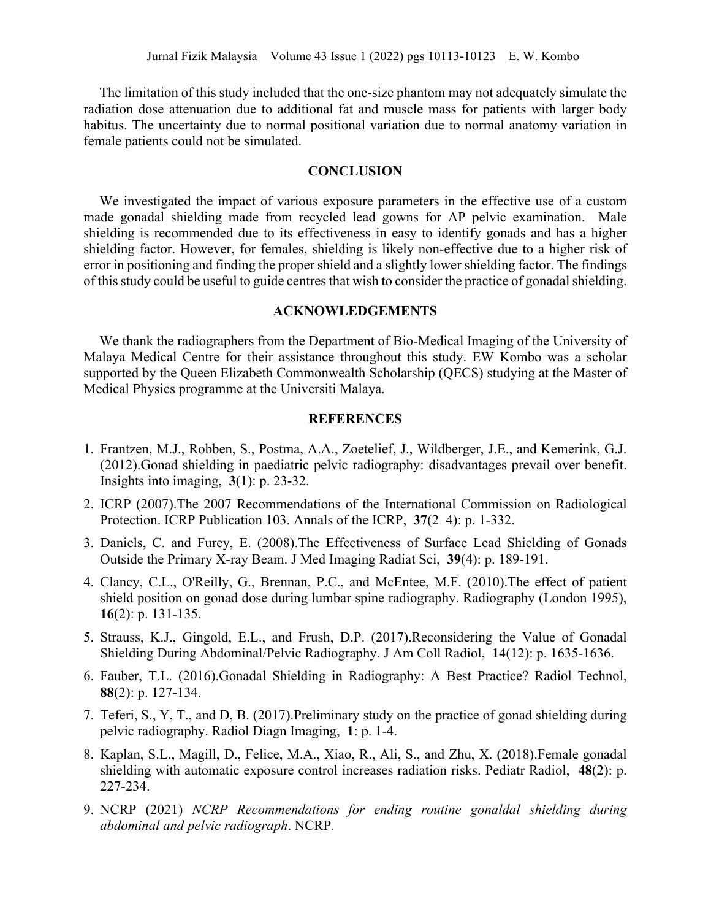The limitation of this study included that the one-size phantom may not adequately simulate the radiation dose attenuation due to additional fat and muscle mass for patients with larger body habitus. The uncertainty due to normal positional variation due to normal anatomy variation in female patients could not be simulated.

# **CONCLUSION**

We investigated the impact of various exposure parameters in the effective use of a custom made gonadal shielding made from recycled lead gowns for AP pelvic examination. Male shielding is recommended due to its effectiveness in easy to identify gonads and has a higher shielding factor. However, for females, shielding is likely non-effective due to a higher risk of error in positioning and finding the proper shield and a slightly lower shielding factor. The findings of this study could be useful to guide centres that wish to consider the practice of gonadal shielding.

#### **ACKNOWLEDGEMENTS**

We thank the radiographers from the Department of Bio-Medical Imaging of the University of Malaya Medical Centre for their assistance throughout this study. EW Kombo was a scholar supported by the Queen Elizabeth Commonwealth Scholarship (QECS) studying at the Master of Medical Physics programme at the Universiti Malaya.

## **REFERENCES**

- 1. Frantzen, M.J., Robben, S., Postma, A.A., Zoetelief, J., Wildberger, J.E., and Kemerink, G.J. (2012).Gonad shielding in paediatric pelvic radiography: disadvantages prevail over benefit. Insights into imaging, **3**(1): p. 23-32.
- 2. ICRP (2007).The 2007 Recommendations of the International Commission on Radiological Protection. ICRP Publication 103. Annals of the ICRP, **37**(2–4): p. 1-332.
- 3. Daniels, C. and Furey, E. (2008).The Effectiveness of Surface Lead Shielding of Gonads Outside the Primary X-ray Beam. J Med Imaging Radiat Sci, **39**(4): p. 189-191.
- 4. Clancy, C.L., O'Reilly, G., Brennan, P.C., and McEntee, M.F. (2010).The effect of patient shield position on gonad dose during lumbar spine radiography. Radiography (London 1995), **16**(2): p. 131-135.
- 5. Strauss, K.J., Gingold, E.L., and Frush, D.P. (2017).Reconsidering the Value of Gonadal Shielding During Abdominal/Pelvic Radiography. J Am Coll Radiol, **14**(12): p. 1635-1636.
- 6. Fauber, T.L. (2016).Gonadal Shielding in Radiography: A Best Practice? Radiol Technol, **88**(2): p. 127-134.
- 7. Teferi, S., Y, T., and D, B. (2017).Preliminary study on the practice of gonad shielding during pelvic radiography. Radiol Diagn Imaging, **1**: p. 1-4.
- 8. Kaplan, S.L., Magill, D., Felice, M.A., Xiao, R., Ali, S., and Zhu, X. (2018).Female gonadal shielding with automatic exposure control increases radiation risks. Pediatr Radiol, **48**(2): p. 227-234.
- 9. NCRP (2021) *NCRP Recommendations for ending routine gonaldal shielding during abdominal and pelvic radiograph*. NCRP.